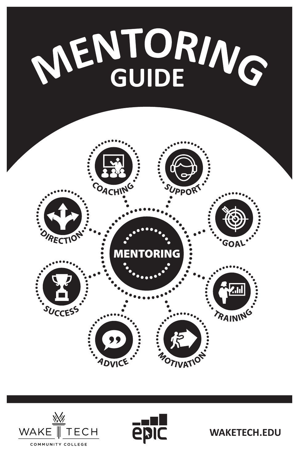





**WAKETECH.EDU**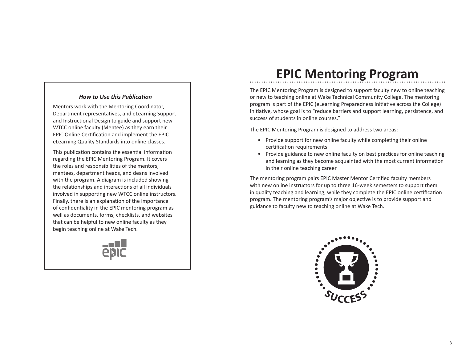#### *How to Use this Publication*

Mentors work with the Mentoring Coordinator, Department representatives, and eLearning Support and Instructional Design to guide and support new WTCC online faculty (Mentee) as they earn their EPIC Online Certification and implement the EPIC eLearning Quality Standards into online classes.

This publication contains the essential information regarding the EPIC Mentoring Program. It covers the roles and responsibilities of the mentors, mentees, department heads, and deans involved with the program. A diagram is included showing the relationships and interactions of all individuals involved in supporting new WTCC online instructors. Finally, there is an explanation of the importance of confidentiality in the EPIC mentoring program as well as documents, forms, checklists, and websites that can be helpful to new online faculty as they begin teaching online at Wake Tech.



# **EPIC Mentoring Program**

The EPIC Mentoring Program is designed to support faculty new to online teaching or new to teaching online at Wake Technical Community College. The mentoring program is part of the EPIC (eLearning Preparedness Initiative across the College) Initiative, whose goal is to "reduce barriers and support learning, persistence, and success of students in online courses."

The EPIC Mentoring Program is designed to address two areas:

- Provide support for new online faculty while completing their online certification requirements
- Provide guidance to new online faculty on best practices for online teaching and learning as they become acquainted with the most current information in their online teaching career

The mentoring program pairs EPIC Master Mentor Certified faculty members with new online instructors for up to three 16-week semesters to support them in quality teaching and learning, while they complete the EPIC online certification program. The mentoring program's major objective is to provide support and guidance to faculty new to teaching online at Wake Tech.

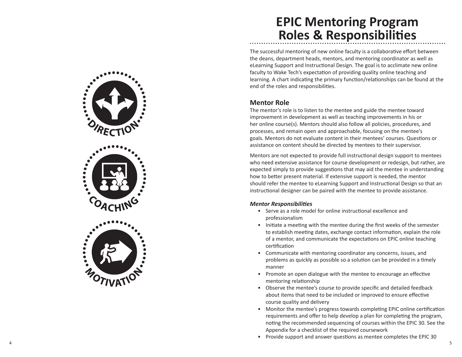

# **EPIC Mentoring Program Roles & Responsibilities**

The successful mentoring of new online faculty is a collaborative effort between the deans, department heads, mentors, and mentoring coordinator as well as eLearning Support and Instructional Design. The goal is to acclimate new online faculty to Wake Tech's expectation of providing quality online teaching and learning. A chart indicating the primary function/relationships can be found at the end of the roles and responsibilities.

#### **Mentor Role**

The mentor's role is to listen to the mentee and guide the mentee toward improvement in development as well as teaching improvements in his or her online course(s). Mentors should also follow all policies, procedures, and processes, and remain open and approachable, focusing on the mentee's goals. Mentors do not evaluate content in their mentees' courses. Questions or assistance on content should be directed by mentees to their supervisor.

Mentors are not expected to provide full instructional design support to mentees who need extensive assistance for course development or redesign, but rather, are expected simply to provide suggestions that may aid the mentee in understanding how to better present material. If extensive support is needed, the mentor should refer the mentee to eLearning Support and Instructional Design so that an instructional designer can be paired with the mentee to provide assistance.

#### *Mentor Responsibilities*

- Serve as a role model for online instructional excellence and professionalism
- Initiate a meeting with the mentee during the first weeks of the semester to establish meeting dates, exchange contact information, explain the role of a mentor, and communicate the expectations on EPIC online teaching certification
- Communicate with mentoring coordinator any concerns, issues, and problems as quickly as possible so a solution can be provided in a timely manner
- Promote an open dialogue with the mentee to encourage an effective mentoring relationship
- Observe the mentee's course to provide specific and detailed feedback about items that need to be included or improved to ensure effective course quality and delivery
- Monitor the mentee's progress towards completing EPIC online certification requirements and offer to help develop a plan for completing the program, noting the recommended sequencing of courses within the EPIC 30. See the Appendix for a checklist of the required coursework
- Provide support and answer questions as mentee completes the EPIC 30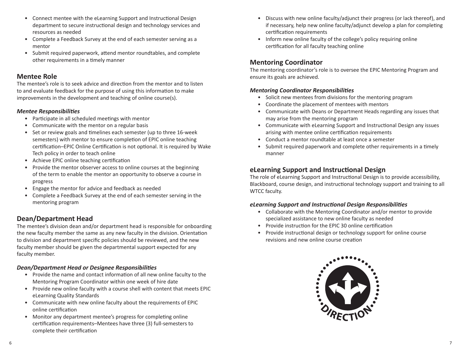- Connect mentee with the eLearning Support and Instructional Design department to secure instructional design and technology services and resources as needed
- Complete a Feedback Survey at the end of each semester serving as a mentor
- Submit required paperwork, attend mentor roundtables, and complete other requirements in a timely manner

#### **Mentee Role**

The mentee's role is to seek advice and direction from the mentor and to listen to and evaluate feedback for the purpose of using this information to make improvements in the development and teaching of online course(s).

#### *Mentee Responsibilities*

- Participate in all scheduled meetings with mentor
- Communicate with the mentor on a regular basis
- Set or review goals and timelines each semester (up to three 16-week semesters) with mentor to ensure completion of EPIC online teaching certification–EPIC Online Certification is not optional. It is required by Wake Tech policy in order to teach online
- Achieve EPIC online teaching certification
- Provide the mentor observer access to online courses at the beginning of the term to enable the mentor an opportunity to observe a course in progress
- Engage the mentor for advice and feedback as needed
- Complete a Feedback Survey at the end of each semester serving in the mentoring program

#### **Dean/Department Head**

The mentee's division dean and/or department head is responsible for onboarding the new faculty member the same as any new faculty in the division. Orientation to division and department specific policies should be reviewed, and the new faculty member should be given the departmental support expected for any faculty member.

#### *Dean/Department Head or Designee Responsibilities*

- Provide the name and contact information of all new online faculty to the Mentoring Program Coordinator within one week of hire date
- Provide new online faculty with a course shell with content that meets EPIC eLearning Quality Standards
- Communicate with new online faculty about the requirements of EPIC online certification
- Monitor any department mentee's progress for completing online certification requirements–Mentees have three (3) full-semesters to complete their certification
- Discuss with new online faculty/adjunct their progress (or lack thereof), and if necessary, help new online faculty/adjunct develop a plan for completing certification requirements
- Inform new online faculty of the college's policy requiring online certification for all faculty teaching online

#### **Mentoring Coordinator**

The mentoring coordinator's role is to oversee the EPIC Mentoring Program and ensure its goals are achieved.

#### *Mentoring Coordinator Responsibilities*

- Solicit new mentees from divisions for the mentoring program
- Coordinate the placement of mentees with mentors
- Communicate with Deans or Department Heads regarding any issues that may arise from the mentoring program
- Communicate with eLearning Support and Instructional Design any issues arising with mentee online certification requirements
- Conduct a mentor roundtable at least once a semester
- Submit required paperwork and complete other requirements in a timely manner

#### **eLearning Support and Instructional Design**

The role of eLearning Support and Instructional Design is to provide accessibility, Blackboard, course design, and instructional technology support and training to all WTCC faculty.

#### *eLearning Support and Instructional Design Responsibilities*

- Collaborate with the Mentoring Coordinator and/or mentor to provide specialized assistance to new online faculty as needed
- Provide instruction for the EPIC 30 online certification
- Provide instructional design or technology support for online course revisions and new online course creation

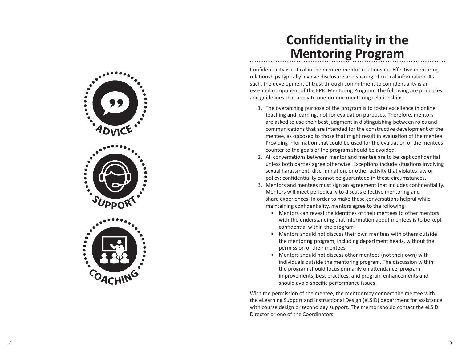

## **Confidentiality in the Mentoring Program**

Confidentiality is critical in the mentee-mentor relationship. Effective mentoring relationships typically involve disclosure and sharing of critical information. As such, the development of trust through commitment to confidentiality is an essential component of the EPIC Mentoring Program. The following are principles and guidelines that apply to one-on-one mentoring relationships:

- 1. The overarching purpose of the program is to foster excellence in online teaching and learning, not for evaluation purposes. Therefore, mentors are asked to use their best judgment in distinguishing between roles and communications that are intended for the constructive development of the mentee, as opposed to those that might result in evaluation of the mentee. Providing information that could be used for the evaluation of the mentees counter to the goals of the program should be avoided.
- 2. All conversations between mentor and mentee are to be kept confidential unless both parties agree otherwise. Exceptions include situations involving sexual harassment, discrimination, or other activity that violates law or policy; confidentiality cannot be guaranteed in these circumstances.
- 3. Mentors and mentees must sign an agreement that includes confidentiality. Mentors will meet periodically to discuss effective mentoring and share experiences. In order to make these conversations helpful while maintaining confidentiality, mentors agree to the following:
	- Mentors can reveal the identities of their mentees to other mentors with the understanding that information about mentees is to be kept confidential within the program
	- Mentors should not discuss their own mentees with others outside the mentoring program, including department heads, without the permission of their mentees
	- Mentors should not discuss other mentees (not their own) with individuals outside the mentoring program. The discussion within the program should focus primarily on attendance, program improvements, best practices, and program enhancements and should avoid specific performance issues

With the permission of the mentee, the mentor may connect the mentee with the eLearning Support and Instructional Design (eLSID) department for assistance with course design or technology support. The mentor should contact the eLSID Director or one of the Coordinators.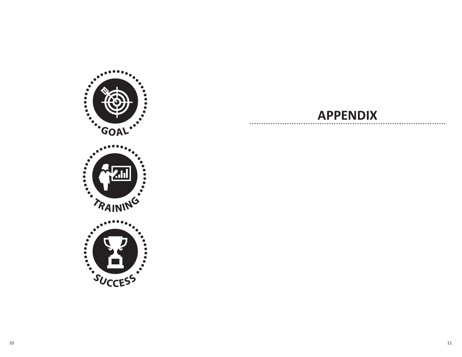

### **APPENDIX**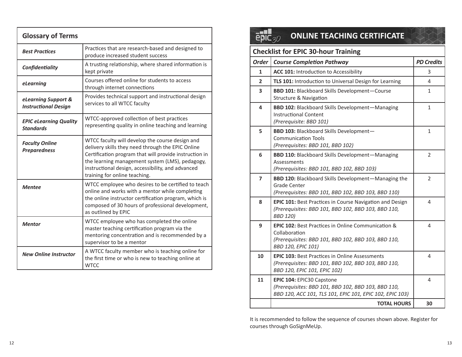| <b>Glossary of Terms</b>                           |                                                                                                                                                                                                                                                                                                         |
|----------------------------------------------------|---------------------------------------------------------------------------------------------------------------------------------------------------------------------------------------------------------------------------------------------------------------------------------------------------------|
| <b>Best Practices</b>                              | Practices that are research-based and designed to<br>produce increased student success                                                                                                                                                                                                                  |
| Confidentiality                                    | A trusting relationship, where shared information is<br>kept private                                                                                                                                                                                                                                    |
| eLearning                                          | Courses offered online for students to access<br>through internet connections                                                                                                                                                                                                                           |
| eLearning Support &<br><b>Instructional Design</b> | Provides technical support and instructional design<br>services to all WTCC faculty                                                                                                                                                                                                                     |
| <b>EPIC eLearning Quality</b><br><b>Standards</b>  | WTCC-approved collection of best practices<br>representing quality in online teaching and learning                                                                                                                                                                                                      |
| <b>Faculty Online</b><br><b>Preparedness</b>       | WTCC faculty will develop the course design and<br>delivery skills they need through the EPIC Online<br>Certification program that will provide instruction in<br>the learning management system (LMS), pedagogy,<br>instructional design, accessibility, and advanced<br>training for online teaching. |
| <b>Mentee</b>                                      | WTCC employee who desires to be certified to teach<br>online and works with a mentor while completing<br>the online instructor certification program, which is<br>composed of 30 hours of professional development,<br>as outlined by EPIC                                                              |
| <b>Mentor</b>                                      | WTCC employee who has completed the online<br>master teaching certification program via the<br>mentoring concentration and is recommended by a<br>supervisor to be a mentor                                                                                                                             |
| <b>New Online Instructor</b>                       | A WTCC faculty member who is teaching online for<br>the first time or who is new to teaching online at<br><b>WTCC</b>                                                                                                                                                                                   |

#### **EPIC30 ONLINE TEACHING CERTIFICATE**

| <b>Checklist for EPIC 30-hour Training</b> |                                                                                                                                                                    |                   |
|--------------------------------------------|--------------------------------------------------------------------------------------------------------------------------------------------------------------------|-------------------|
| <b>Order</b>                               | <b>Course Completion Pathway</b>                                                                                                                                   | <b>PD Credits</b> |
| 1                                          | ACC 101: Introduction to Accessibility                                                                                                                             | 3                 |
| $\overline{2}$                             | TLS 101: Introduction to Universal Design for Learning                                                                                                             | 4                 |
| 3                                          | <b>BBD 101: Blackboard Skills Development-Course</b><br><b>Structure &amp; Navigation</b>                                                                          | 1                 |
| 4                                          | <b>BBD 102: Blackboard Skills Development-Managing</b><br><b>Instructional Content</b><br>(Prerequisite: BBD 101)                                                  | 1                 |
| 5                                          | <b>BBD 103: Blackboard Skills Development-</b><br><b>Communication Tools</b><br>(Prerequisites: BBD 101, BBD 102)                                                  | 1                 |
| 6                                          | <b>BBD 110: Blackboard Skills Development-Managing</b><br><b>Assessments</b><br>(Prerequisites: BBD 101, BBD 102, BBD 103)                                         | $\overline{2}$    |
| $\overline{7}$                             | <b>BBD 120:</b> Blackboard Skills Development-Managing the<br>Grade Center<br>(Prerequisites: BBD 101, BBD 102, BBD 103, BBD 110)                                  | 2                 |
| 8                                          | <b>EPIC 101: Best Practices in Course Navigation and Design</b><br>(Prerequisites: BBD 101, BBD 102, BBD 103, BBD 110,<br><b>BBD 120)</b>                          | 4                 |
| 9                                          | <b>EPIC 102: Best Practices in Online Communication &amp;</b><br>Collaboration<br>(Prerequisites: BBD 101, BBD 102, BBD 103, BBD 110,<br><b>BBD 120, EPIC 101)</b> | 4                 |
| 10                                         | <b>EPIC 103: Best Practices in Online Assessments</b><br>(Prerequisites: BBD 101, BBD 102, BBD 103, BBD 110,<br>BBD 120, EPIC 101, EPIC 102)                       | 4                 |
| 11                                         | <b>EPIC 104: EPIC30 Capstone</b><br>(Prerequisites: BBD 101, BBD 102, BBD 103, BBD 110,<br>BBD 120, ACC 101, TLS 101, EPIC 101, EPIC 102, EPIC 103)                | 4                 |
|                                            | <b>TOTAL HOURS</b>                                                                                                                                                 | 30                |

It is recommended to follow the sequence of courses shown above. Register for courses through GoSignMeUp.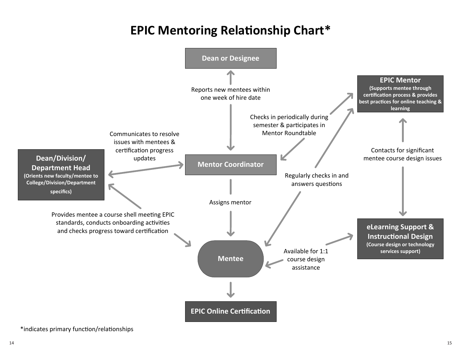# **EPIC Mentoring Relationship Chart\***



\*indicates primary function/relationships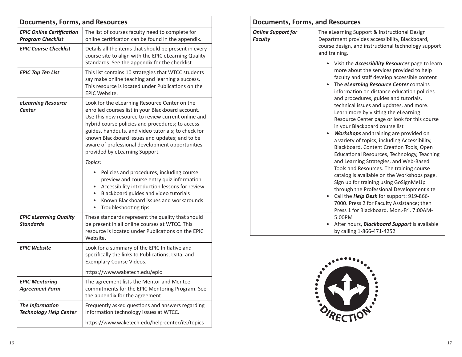| <b>Documents, Forms, and Resources</b>                       |                                                                                                                                                                                                                                                                                                                                                                                                            |
|--------------------------------------------------------------|------------------------------------------------------------------------------------------------------------------------------------------------------------------------------------------------------------------------------------------------------------------------------------------------------------------------------------------------------------------------------------------------------------|
| <b>EPIC Online Certification</b><br><b>Program Checklist</b> | The list of courses faculty need to complete for<br>online certification can be found in the appendix.                                                                                                                                                                                                                                                                                                     |
| <b>EPIC Course Checklist</b>                                 | Details all the items that should be present in every<br>course site to align with the EPIC eLearning Quality<br>Standards. See the appendix for the checklist.                                                                                                                                                                                                                                            |
| <b>EPIC Top Ten List</b>                                     | This list contains 10 strategies that WTCC students<br>say make online teaching and learning a success.<br>This resource is located under Publications on the<br>EPIC Website.                                                                                                                                                                                                                             |
| eLearning Resource<br><b>Center</b>                          | Look for the eLearning Resource Center on the<br>enrolled courses list in your Blackboard account.<br>Use this new resource to review current online and<br>hybrid course policies and procedures; to access<br>guides, handouts, and video tutorials; to check for<br>known Blackboard issues and updates; and to be<br>aware of professional development opportunities<br>provided by eLearning Support. |
|                                                              | Topics:                                                                                                                                                                                                                                                                                                                                                                                                    |
|                                                              | Policies and procedures, including course<br>preview and course entry quiz information<br>Accessibility introduction lessons for review<br>$\bullet$<br>Blackboard guides and video tutorials<br>$\bullet$<br>Known Blackboard issues and workarounds<br>$\bullet$<br>Troubleshooting tips<br>$\bullet$                                                                                                    |
| <b>EPIC eLearning Quality</b><br><b>Standards</b>            | These standards represent the quality that should<br>be present in all online courses at WTCC. This<br>resource is located under Publications on the EPIC<br>Website.                                                                                                                                                                                                                                      |
| <b>EPIC Website</b>                                          | Look for a summary of the EPIC Initiative and<br>specifically the links to Publications, Data, and<br>Exemplary Course Videos.                                                                                                                                                                                                                                                                             |
|                                                              | https://www.waketech.edu/epic                                                                                                                                                                                                                                                                                                                                                                              |
| <b>EPIC Mentoring</b><br><b>Agreement Form</b>               | The agreement lists the Mentor and Mentee<br>commitments for the EPIC Mentoring Program. See<br>the appendix for the agreement.                                                                                                                                                                                                                                                                            |
| The Information<br><b>Technology Help Center</b>             | Frequently asked questions and answers regarding<br>information technology issues at WTCC.                                                                                                                                                                                                                                                                                                                 |
|                                                              | https://www.waketech.edu/help-center/its/topics                                                                                                                                                                                                                                                                                                                                                            |

| <b>Documents, Forms, and Resources</b>      |                                                                                                                                                                                                                                                                                                                                                                                                                                                                                                                                                                                                                                                                                                                                                                                                                                                                                                                                                                                                                                                                                                                     |  |
|---------------------------------------------|---------------------------------------------------------------------------------------------------------------------------------------------------------------------------------------------------------------------------------------------------------------------------------------------------------------------------------------------------------------------------------------------------------------------------------------------------------------------------------------------------------------------------------------------------------------------------------------------------------------------------------------------------------------------------------------------------------------------------------------------------------------------------------------------------------------------------------------------------------------------------------------------------------------------------------------------------------------------------------------------------------------------------------------------------------------------------------------------------------------------|--|
| <b>Online Support for</b><br><b>Faculty</b> | The eLearning Support & Instructional Design<br>Department provides accessibility, Blackboard,<br>course design, and instructional technology support<br>and training.                                                                                                                                                                                                                                                                                                                                                                                                                                                                                                                                                                                                                                                                                                                                                                                                                                                                                                                                              |  |
|                                             | Visit the <b>Accessibility Resources</b> page to learn<br>more about the services provided to help<br>faculty and staff develop accessible content<br>The <i>eLearning Resource Center</i> contains<br>$\bullet$<br>information on distance education policies<br>and procedures, guides and tutorials,<br>technical issues and updates, and more.<br>Learn more by visiting the eLearning<br>Resource Center page or look for this course<br>in your Blackboard course list<br><b>Workshops</b> and training are provided on<br>a variety of topics, including Accessibility,<br>Blackboard, Content Creation Tools, Open<br>Educational Resources, Technology, Teaching<br>and Learning Strategies, and Web-Based<br>Tools and Resources. The training course<br>catalog is available on the Workshops page.<br>Sign up for training using GoSignMeUp<br>through the Professional Development site<br>Call the <i>Help Desk</i> for support: 919-866-<br>7000. Press 2 for Faculty Assistance; then<br>Press 1 for Blackboard, Mon.-Fri. 7:00AM-<br>5:00PM<br>After hours, <b>Blackboard Support</b> is available |  |
|                                             | by calling 1-866-471-4252                                                                                                                                                                                                                                                                                                                                                                                                                                                                                                                                                                                                                                                                                                                                                                                                                                                                                                                                                                                                                                                                                           |  |

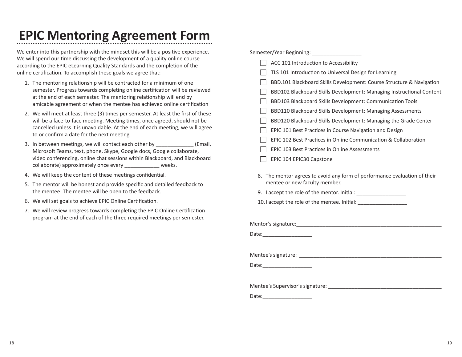# **EPIC Mentoring Agreement Form**

We enter into this partnership with the mindset this will be a positive experience. We will spend our time discussing the development of a quality online course according to the EPIC eLearning Quality Standards and the completion of the online certification. To accomplish these goals we agree that:

- 1. The mentoring relationship will be contracted for a minimum of one semester. Progress towards completing online certification will be reviewed at the end of each semester. The mentoring relationship will end by amicable agreement or when the mentee has achieved online certification
- 2. We will meet at least three (3) times per semester. At least the first of these will be a face-to-face meeting. Meeting times, once agreed, should not be cancelled unless it is unavoidable. At the end of each meeting, we will agree to or confirm a date for the next meeting.
- 3. In between meetings, we will contact each other by **Email** Microsoft Teams, text, phone, Skype, Google docs, Google collaborate, video conferencing, online chat sessions within Blackboard, and Blackboard collaborate) approximately once every \_\_\_\_\_\_\_\_\_\_\_\_ weeks.
- 4. We will keep the content of these meetings confidential.
- 5. The mentor will be honest and provide specific and detailed feedback to the mentee. The mentee will be open to the feedback.
- 6. We will set goals to achieve EPIC Online Certification.
- 7. We will review progress towards completing the EPIC Online Certification program at the end of each of the three required meetings per semester.

| Semester/Year Beginning: _____________________                                                                                                                                                                                 |  |
|--------------------------------------------------------------------------------------------------------------------------------------------------------------------------------------------------------------------------------|--|
| ACC 101 Introduction to Accessibility                                                                                                                                                                                          |  |
| TLS 101 Introduction to Universal Design for Learning                                                                                                                                                                          |  |
| BBD.101 Blackboard Skills Development: Course Structure & Navigation                                                                                                                                                           |  |
| BBD102 Blackboard Skills Development: Managing Instructional Content                                                                                                                                                           |  |
| BBD103 Blackboard Skills Development: Communication Tools                                                                                                                                                                      |  |
| BBD110 Blackboard Skills Development: Managing Assessments                                                                                                                                                                     |  |
| BBD120 Blackboard Skills Development: Managing the Grade Center                                                                                                                                                                |  |
| EPIC 101 Best Practices in Course Navigation and Design                                                                                                                                                                        |  |
| EPIC 102 Best Practices in Online Communication & Collaboration                                                                                                                                                                |  |
| EPIC 103 Best Practices in Online Assessments                                                                                                                                                                                  |  |
| EPIC 104 EPIC30 Capstone                                                                                                                                                                                                       |  |
| 8. The mentor agrees to avoid any form of performance evaluation of their<br>mentee or new faculty member.<br>9. I accept the role of the mentor. Initial: ___________________________________                                 |  |
| 10. I accept the role of the mentee. Initial: __________________________________                                                                                                                                               |  |
|                                                                                                                                                                                                                                |  |
| Mentor's signature: Management of the Mentor's signature:                                                                                                                                                                      |  |
| Date: Date:                                                                                                                                                                                                                    |  |
|                                                                                                                                                                                                                                |  |
|                                                                                                                                                                                                                                |  |
| Date: and the contract of the contract of the contract of the contract of the contract of the contract of the contract of the contract of the contract of the contract of the contract of the contract of the contract of the  |  |
|                                                                                                                                                                                                                                |  |
|                                                                                                                                                                                                                                |  |
| Date: the contract of the contract of the contract of the contract of the contract of the contract of the contract of the contract of the contract of the contract of the contract of the contract of the contract of the cont |  |
|                                                                                                                                                                                                                                |  |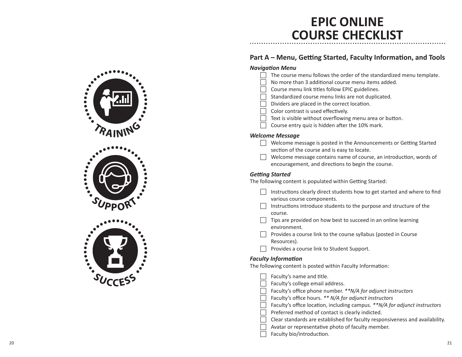### **EPIC ONLINE COURSE CHECKLIST**

#### **Part A – Menu, Getting Started, Faculty Information, and Tools**

- *Navigation Menu*  $\Box$  The course menu follows the order of the standardized menu template. No more than 3 additional course menu items added. Course menu link titles follow EPIC guidelines. Standardized course menu links are not duplicated. Dividers are placed in the correct location. Color contrast is used effectively.  $\Box$  Text is visible without overflowing menu area or button.  $\Box$  Course entry quiz is hidden after the 10% mark. *Welcome Message*  $\Box$  Welcome message is posted in the Announcements or Getting Started section of the course and is easy to locate.  $\Box$  Welcome message contains name of course, an introduction, words of encouragement, and directions to begin the course. *Getting Started* The following content is populated within Getting Started: Instructions clearly direct students how to get started and where to find various course components.  $\Box$  Instructions introduce students to the purpose and structure of the course. Tips are provided on how best to succeed in an online learning environment.  $\Box$  Provides a course link to the course syllabus (posted in Course Resources). Provides a course link to Student Support. *Faculty Information* The following content is posted within Faculty Information: Faculty's name and title. Faculty's college email address. Faculty's office phone number. \*\*N/A for adjunct instructors Faculty's office hours. \*\* N/A for adjunct instructors Faculty's office location, including campus. \*\*N/A for adjunct instructors Preferred method of contact is clearly indicted. Clear standards are established for faculty responsiveness and availability. Avatar or representative photo of faculty member.
	-
	- Faculty bio/introduction.

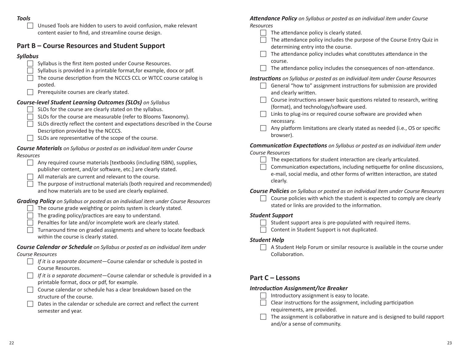#### *Tools*

 $\Box$  Unused Tools are hidden to users to avoid confusion, make relevant content easier to find, and streamline course design.

#### **Part B – Course Resources and Student Support**

#### *Syllabus*

- Syllabus is the first item posted under Course Resources.
- Syllabus is provided in a printable format, for example, docx or pdf.
- $\Box$  The course description from the NCCCS CCL or WTCC course catalog is posted.
- $\Box$  Prerequisite courses are clearly stated.

#### *Course-level Student Learning Outcomes (SLOs) on Syllabus*

- SLOs for the course are clearly stated on the syllabus.
- SLOs for the course are measurable (refer to Blooms Taxonomy).
- SLOs directly reflect the content and expectations described in the Course Description provided by the NCCCS.
- $\Box$  SLOs are representative of the scope of the course.

#### *Course Materials on Syllabus or posted as an individual item under Course Resources*

| $\Box$ Any required course materials [textbooks (including ISBN), supplies, |
|-----------------------------------------------------------------------------|
| publisher content, and/or software, etc.] are clearly stated.               |

- All materials are current and relevant to the course.
- The purpose of instructional materials (both required and recommended) and how materials are to be used are clearly explained.

#### *Grading Policy on Syllabus or posted as an individual item under Course Resources*

- The course grade weighting or points system is clearly stated.
- $\Box$  The grading policy/practices are easy to understand.
- Penalties for late and/or incomplete work are clearly stated.
- $\Box$  Turnaround time on graded assignments and where to locate feedback within the course is clearly stated.

#### *Course Calendar or Schedule on Syllabus or posted as an individual item under Course Resources*

- F *If it is a separate document—*Course calendar or schedule is posted in Course Resources.
- F *If it is a separate document—*Course calendar or schedule is provided in a printable format, docx or pdf, for example.
- $\Box$  Course calendar or schedule has a clear breakdown based on the structure of the course.
- Dates in the calendar or schedule are correct and reflect the current semester and year.

*Attendance Policy on Syllabus or posted as an individual item under Course Resources*

- $\Box$  The attendance policy is clearly stated.
- $\Box$  The attendance policy includes the purpose of the Course Entry Quiz in determining entry into the course.
- The attendance policy includes what constitutes attendance in the course.
- The attendance policy includes the consequences of non-attendance.

*Instructions on Syllabus or posted as an individual item under Course Resources*

- $\Box$  General "how to" assignment instructions for submission are provided and clearly written.
- $\Box$  Course instructions answer basic questions related to research, writing (format), and technology/software used.
- $\Box$  Links to plug-ins or required course software are provided when necessary.
- $\Box$  Any platform limitations are clearly stated as needed (i.e., OS or specific browser).

*Communication Expectations on Syllabus or posted as an individual item under Course Resources*

- $\Box$  The expectations for student interaction are clearly articulated.
- Communication expectations, including netiquette for online discussions, e-mail, social media, and other forms of written interaction, are stated clearly.

*Course Policies on Syllabus or posted as an individual item under Course Resources*

Course policies with which the student is expected to comply are clearly stated or links are provided to the information.

#### *Student Support*

- $\Box$  Student support area is pre-populated with required items.
- $\Box$  Content in Student Support is not duplicated.

#### *Student Help*

 $\Box$  A Student Help Forum or similar resource is available in the course under Collaboration.

### **Part C – Lessons**

#### *Introduction Assignment/Ice Breaker*

- $\Box$  Introductory assignment is easy to locate.
	- Clear instructions for the assignment, including participation requirements, are provided.
- $\Box$  The assignment is collaborative in nature and is designed to build rapport and/or a sense of community.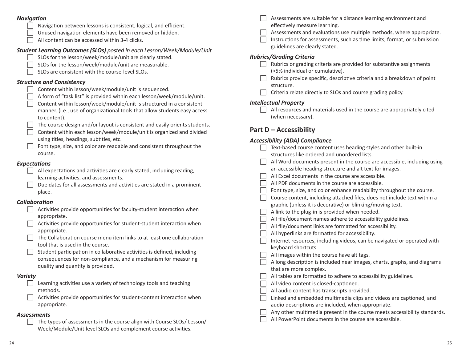#### *Navigation*

Navigation between lessons is consistent, logical, and efficient.

- Unused navigation elements have been removed or hidden.
- $\Box$  All content can be accessed within 3-4 clicks.

#### *Student Learning Outcomes (SLOs) posted in each Lesson/Week/Module/Unit*

- SLOs for the lesson/week/module/unit are clearly stated.
- SLOs for the lesson/week/module/unit are measurable.
- SLOs are consistent with the course-level SLOs.

#### *Structure and Consistency*

- $\Box$  Content within lesson/week/module/unit is sequenced.
- $\Box$  A form of "task list" is provided within each lesson/week/module/unit.
- Content within lesson/week/module/unit is structured in a consistent manner. (i.e., use of organizational tools that allow students easy access to content).
- The course design and/or layout is consistent and easily orients students.
- Content within each lesson/week/module/unit is organized and divided using titles, headings, subtitles, etc.
- $\Box$  Font type, size, and color are readable and consistent throughout the course.

#### *Expectations*

- $\Box$  All expectations and activities are clearly stated, including reading, learning activities, and assessments.
- $\Box$  Due dates for all assessments and activities are stated in a prominent place.

#### *Collaboration*

| Activities provide opportunities for faculty-student interaction when |
|-----------------------------------------------------------------------|
| appropriate.                                                          |

- Activities provide opportunities for student-student interaction when appropriate.
- The Collaboration course menu item links to at least one collaboration tool that is used in the course.
- Student participation in collaborative activities is defined, including consequences for non-compliance, and a mechanism for measuring quality and quantity is provided.

#### *Variety*

- $\Box$  Learning activities use a variety of technology tools and teaching methods.
- $\Box$  Activities provide opportunities for student-content interaction when appropriate.

#### *Assessments*

The types of assessments in the course align with Course SLOs/ Lesson/ Week/Module/Unit-level SLOs and complement course activities.

- Assessments are suitable for a distance learning environment and effectively measure learning.
- $\Box$  Assessments and evaluations use multiple methods, where appropriate.
	- Instructions for assessments, such as time limits, format, or submission guidelines are clearly stated.

#### *Rubrics/Grading Criteria*

- $\Box$  Rubrics or grading criteria are provided for substantive assignments (>5% individual or cumulative).
- $\Box$  Rubrics provide specific, descriptive criteria and a breakdown of point structure.
	- Criteria relate directly to SLOs and course grading policy.

#### *Intellectual Property*

 $\Box$  All resources and materials used in the course are appropriately cited (when necessary).

#### **Part D – Accessibility**

#### *Accessibility (ADA) Compliance*

|  | Text-based course content uses heading styles and other built-in          |
|--|---------------------------------------------------------------------------|
|  | structures like ordered and unordered lists.                              |
|  | All Word documents present in the course are accessible, including using  |
|  | an accessible heading structure and alt text for images.                  |
|  | All Excel documents in the course are accessible.                         |
|  | All PDF documents in the course are accessible.                           |
|  | Font type, size, and color enhance readability throughout the course.     |
|  | Course content, including attached files, does not include text within a  |
|  | graphic (unless it is decorative) or blinking/moving text.                |
|  | A link to the plug-in is provided when needed.                            |
|  | All file/document names adhere to accessibility guidelines.               |
|  | All file/document links are formatted for accessibility.                  |
|  | All hyperlinks are formatted for accessibility.                           |
|  | Internet resources, including videos, can be navigated or operated with   |
|  | keyboard shortcuts.                                                       |
|  | All images within the course have alt tags.                               |
|  | A long description is included near images, charts, graphs, and diagrams  |
|  | that are more complex.                                                    |
|  | All tables are formatted to adhere to accessibility guidelines.           |
|  | All video content is closed-captioned.                                    |
|  | All audio content has transcripts provided.                               |
|  | Linked and embedded multimedia clips and videos are captioned, and        |
|  | audio descriptions are included, when appropriate.                        |
|  | Any other multimedia present in the course meets accessibility standards. |
|  | All PowerPoint documents in the course are accessible.                    |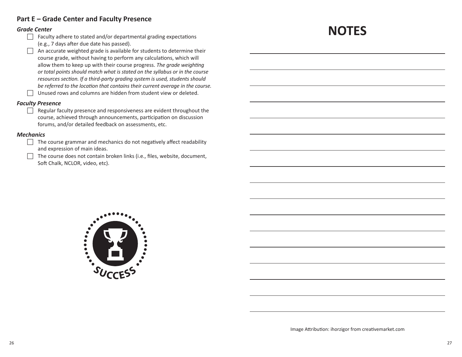#### **Part E – Grade Center and Faculty Presence**

#### *Grade Center*

- $\Box$  Faculty adhere to stated and/or departmental grading expectations (e.g., 7 days after due date has passed).
- $\Box$  An accurate weighted grade is available for students to determine their course grade, without having to perform any calculations, which will allow them to keep up with their course progress. *The grade weighting or total points should match what is stated on the syllabus or in the course resources section. If a third-party grading system is used, students should be referred to the location that contains their current average in the course.*   $\Box$  Unused rows and columns are hidden from student view or deleted.

#### *Faculty Presence*

 $\Box$  Regular faculty presence and responsiveness are evident throughout the course, achieved through announcements, participation on discussion forums, and/or detailed feedback on assessments, etc.

#### *Mechanics*

- $\Box$  The course grammar and mechanics do not negatively affect readability and expression of main ideas.
	- The course does not contain broken links (i.e., files, website, document, Soft Chalk, NCLOR, video, etc).



# **NOTES**